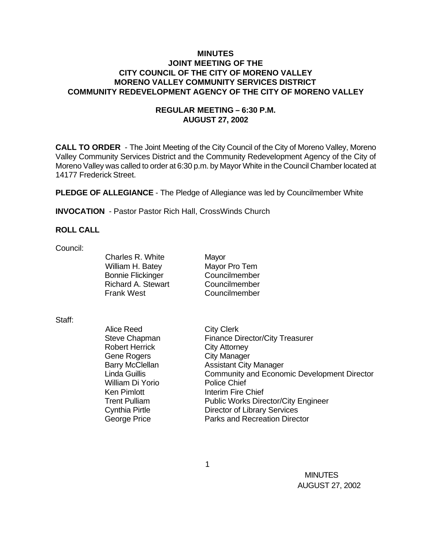## **MINUTES JOINT MEETING OF THE CITY COUNCIL OF THE CITY OF MORENO VALLEY MORENO VALLEY COMMUNITY SERVICES DISTRICT COMMUNITY REDEVELOPMENT AGENCY OF THE CITY OF MORENO VALLEY**

# **REGULAR MEETING – 6:30 P.M. AUGUST 27, 2002**

**CALL TO ORDER** - The Joint Meeting of the City Council of the City of Moreno Valley, Moreno Valley Community Services District and the Community Redevelopment Agency of the City of Moreno Valley was called to order at 6:30 p.m. by Mayor White in the Council Chamber located at 14177 Frederick Street.

**PLEDGE OF ALLEGIANCE** - The Pledge of Allegiance was led by Councilmember White

**INVOCATION** - Pastor Pastor Rich Hall, CrossWinds Church

## **ROLL CALL**

Council:

Charles R. White Mayor William H. Batey Mayor Pro Tem Bonnie Flickinger Councilmember Richard A. Stewart Councilmember Frank West Councilmember

#### Staff:

Alice Reed City Clerk Robert Herrick City Attorney Gene Rogers **City Manager** William Di Yorio Police Chief

Steve Chapman Finance Director/City Treasurer Barry McClellan **Assistant City Manager** Linda Guillis Community and Economic Development Director Ken Pimlott **Interim Fire Chief** Trent Pulliam Public Works Director/City Engineer Cynthia Pirtle Director of Library Services George Price **Parks** and Recreation Director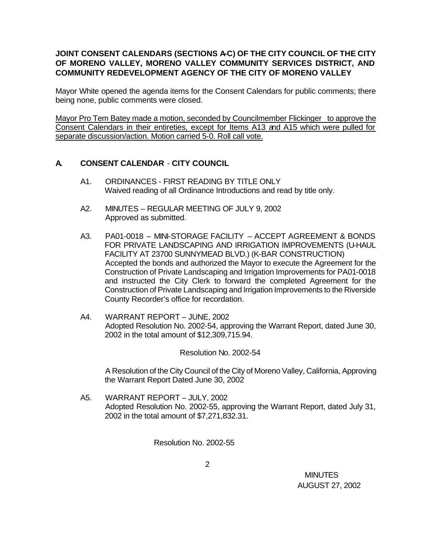# JOINT CONSENT CALENDARS (SECTIONS A-C) OF THE CITY COUNCIL OF THE CITY **OF MORENO VALLEY, MORENO VALLEY COMMUNITY SERVICES DISTRICT, AND COMMUNITY REDEVELOPMENT AGENCY OF THE CITY OF MORENO VALLEY**

Mayor White opened the agenda items for the Consent Calendars for public comments; there being none, public comments were closed.

Mayor Pro Tem Batey made a motion, seconded by Councilmember Flickinger to approve the Consent Calendars in their entireties, except for Items A13 and A15 which were pulled for separate discussion/action. Motion carried 5-0. Roll call vote.

# **A. CONSENT CALENDAR** - **CITY COUNCIL**

- A1. ORDINANCES FIRST READING BY TITLE ONLY Waived reading of all Ordinance Introductions and read by title only.
- A2. MINUTES REGULAR MEETING OF JULY 9, 2002 Approved as submitted.
- A3. PA01-0018 MINI-STORAGE FACILITY ACCEPT AGREEMENT & BONDS FOR PRIVATE LANDSCAPING AND IRRIGATION IMPROVEMENTS (U-HAUL FACILITY AT 23700 SUNNYMEAD BLVD.) (K-BAR CONSTRUCTION) Accepted the bonds and authorized the Mayor to execute the Agreement for the Construction of Private Landscaping and Irrigation Improvements for PA01-0018 and instructed the City Clerk to forward the completed Agreement for the Construction of Private Landscaping and Irrigation Improvements to the Riverside County Recorder's office for recordation.
- A4. WARRANT REPORT JUNE, 2002 Adopted Resolution No. 2002-54, approving the Warrant Report, dated June 30, 2002 in the total amount of \$12,309,715.94.

Resolution No. 2002-54

A Resolution of the City Council of the City of Moreno Valley, California, Approving the Warrant Report Dated June 30, 2002

A5. WARRANT REPORT – JULY, 2002 Adopted Resolution No. 2002-55, approving the Warrant Report, dated July 31, 2002 in the total amount of \$7,271,832.31.

Resolution No. 2002-55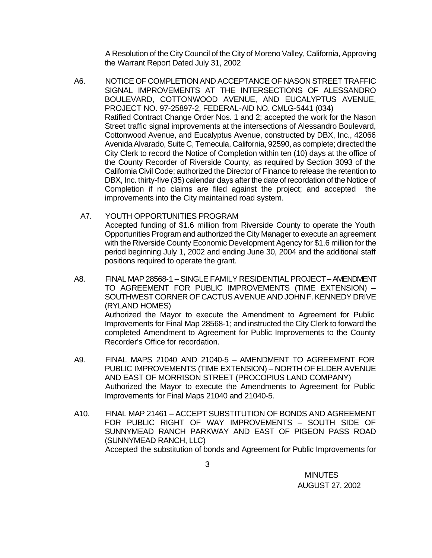A Resolution of the City Council of the City of Moreno Valley, California, Approving the Warrant Report Dated July 31, 2002

A6. NOTICE OF COMPLETION AND ACCEPTANCE OF NASON STREET TRAFFIC SIGNAL IMPROVEMENTS AT THE INTERSECTIONS OF ALESSANDRO BOULEVARD, COTTONWOOD AVENUE, AND EUCALYPTUS AVENUE, PROJECT NO. 97-25897-2, FEDERAL-AID NO. CMLG-5441 (034) Ratified Contract Change Order Nos. 1 and 2; accepted the work for the Nason Street traffic signal improvements at the intersections of Alessandro Boulevard, Cottonwood Avenue, and Eucalyptus Avenue, constructed by DBX, Inc., 42066 Avenida Alvarado, Suite C, Temecula, California, 92590, as complete; directed the City Clerk to record the Notice of Completion within ten (10) days at the office of the County Recorder of Riverside County, as required by Section 3093 of the California Civil Code; authorized the Director of Finance to release the retention to DBX, Inc. thirty-five (35) calendar days after the date of recordation of the Notice of Completion if no claims are filed against the project; and accepted the improvements into the City maintained road system.

### A7. YOUTH OPPORTUNITIES PROGRAM

Accepted funding of \$1.6 million from Riverside County to operate the Youth Opportunities Program and authorized the City Manager to execute an agreement with the Riverside County Economic Development Agency for \$1.6 million for the period beginning July 1, 2002 and ending June 30, 2004 and the additional staff positions required to operate the grant.

- A8. FINAL MAP 28568-1 SINGLE FAMILY RESIDENTIAL PROJECT AMENDMENT TO AGREEMENT FOR PUBLIC IMPROVEMENTS (TIME EXTENSION) – SOUTHWEST CORNER OF CACTUS AVENUE AND JOHN F. KENNEDY DRIVE (RYLAND HOMES) Authorized the Mayor to execute the Amendment to Agreement for Public Improvements for Final Map 28568-1; and instructed the City Clerk to forward the completed Amendment to Agreement for Public Improvements to the County Recorder's Office for recordation.
- A9. FINAL MAPS 21040 AND 21040-5 AMENDMENT TO AGREEMENT FOR PUBLIC IMPROVEMENTS (TIME EXTENSION) – NORTH OF ELDER AVENUE AND EAST OF MORRISON STREET (PROCOPIUS LAND COMPANY) Authorized the Mayor to execute the Amendments to Agreement for Public Improvements for Final Maps 21040 and 21040-5.
- A10. FINAL MAP 21461 ACCEPT SUBSTITUTION OF BONDS AND AGREEMENT FOR PUBLIC RIGHT OF WAY IMPROVEMENTS – SOUTH SIDE OF SUNNYMEAD RANCH PARKWAY AND EAST OF PIGEON PASS ROAD (SUNNYMEAD RANCH, LLC) Accepted the substitution of bonds and Agreement for Public Improvements for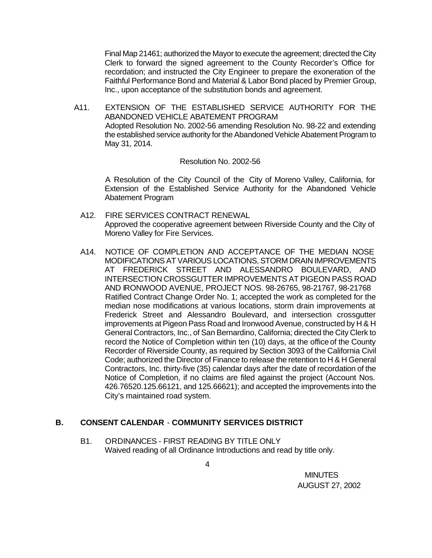Final Map 21461; authorized the Mayor to execute the agreement; directed the City Clerk to forward the signed agreement to the County Recorder's Office for recordation; and instructed the City Engineer to prepare the exoneration of the Faithful Performance Bond and Material & Labor Bond placed by Premier Group, Inc., upon acceptance of the substitution bonds and agreement.

A11. EXTENSION OF THE ESTABLISHED SERVICE AUTHORITY FOR THE ABANDONED VEHICLE ABATEMENT PROGRAM Adopted Resolution No. 2002-56 amending Resolution No. 98-22 and extending the established service authority for the Abandoned Vehicle Abatement Program to May 31, 2014.

#### Resolution No. 2002-56

A Resolution of the City Council of the City of Moreno Valley, California, for Extension of the Established Service Authority for the Abandoned Vehicle Abatement Program

- A12. FIRE SERVICES CONTRACT RENEWAL Approved the cooperative agreement between Riverside County and the City of Moreno Valley for Fire Services.
- A14. NOTICE OF COMPLETION AND ACCEPTANCE OF THE MEDIAN NOSE MODIFICATIONS AT VARIOUS LOCATIONS, STORM DRAIN IMPROVEMENTS AT FREDERICK STREET AND ALESSANDRO BOULEVARD, AND INTERSECTION CROSSGUTTER IMPROVEMENTS AT PIGEON PASS ROAD AND IRONWOOD AVENUE, PROJECT NOS. 98-26765, 98-21767, 98-21768 Ratified Contract Change Order No. 1; accepted the work as completed for the median nose modifications at various locations, storm drain improvements at Frederick Street and Alessandro Boulevard, and intersection crossgutter improvements at Pigeon Pass Road and Ironwood Avenue, constructed by H & H General Contractors, Inc., of San Bernardino, California; directed the City Clerk to record the Notice of Completion within ten (10) days, at the office of the County Recorder of Riverside County, as required by Section 3093 of the California Civil Code; authorized the Director of Finance to release the retention to H & H General Contractors, Inc. thirty-five (35) calendar days after the date of recordation of the Notice of Completion, if no claims are filed against the project (Account Nos. 426.76520.125.66121, and 125.66621); and accepted the improvements into the City's maintained road system.

## **B. CONSENT CALENDAR** - **COMMUNITY SERVICES DISTRICT**

B1. ORDINANCES - FIRST READING BY TITLE ONLY Waived reading of all Ordinance Introductions and read by title only.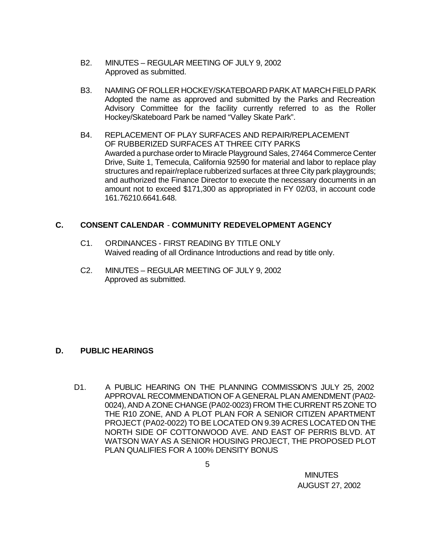- B2. MINUTES REGULAR MEETING OF JULY 9, 2002 Approved as submitted.
- B3. NAMING OF ROLLER HOCKEY/SKATEBOARD PARK AT MARCH FIELD PARK Adopted the name as approved and submitted by the Parks and Recreation Advisory Committee for the facility currently referred to as the Roller Hockey/Skateboard Park be named "Valley Skate Park".
- B4. REPLACEMENT OF PLAY SURFACES AND REPAIR/REPLACEMENT OF RUBBERIZED SURFACES AT THREE CITY PARKS Awarded a purchase order to Miracle Playground Sales, 27464 Commerce Center Drive, Suite 1, Temecula, California 92590 for material and labor to replace play structures and repair/replace rubberized surfaces at three City park playgrounds; and authorized the Finance Director to execute the necessary documents in an amount not to exceed \$171,300 as appropriated in FY 02/03, in account code 161.76210.6641.648.

# **C. CONSENT CALENDAR** - **COMMUNITY REDEVELOPMENT AGENCY**

- C1. ORDINANCES FIRST READING BY TITLE ONLY Waived reading of all Ordinance Introductions and read by title only.
- C2. MINUTES REGULAR MEETING OF JULY 9, 2002 Approved as submitted.

# **D. PUBLIC HEARINGS**

D1. A PUBLIC HEARING ON THE PLANNING COMMISSION'S JULY 25, 2002 APPROVAL RECOMMENDATION OF A GENERAL PLAN AMENDMENT (PA02- 0024), AND A ZONE CHANGE (PA02-0023) FROM THE CURRENT R5 ZONE TO THE R10 ZONE, AND A PLOT PLAN FOR A SENIOR CITIZEN APARTMENT PROJECT (PA02-0022) TO BE LOCATED ON 9.39 ACRES LOCATED ON THE NORTH SIDE OF COTTONWOOD AVE. AND EAST OF PERRIS BLVD. AT WATSON WAY AS A SENIOR HOUSING PROJECT, THE PROPOSED PLOT PLAN QUALIFIES FOR A 100% DENSITY BONUS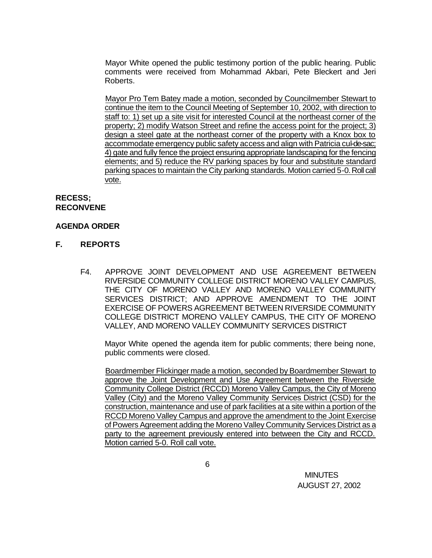Mayor White opened the public testimony portion of the public hearing. Public comments were received from Mohammad Akbari, Pete Bleckert and Jeri Roberts.

Mayor Pro Tem Batey made a motion, seconded by Councilmember Stewart to continue the item to the Council Meeting of September 10, 2002, with direction to staff to: 1) set up a site visit for interested Council at the northeast corner of the property; 2) modify Watson Street and refine the access point for the project; 3) design a steel gate at the northeast corner of the property with a Knox box to accommodate emergency public safety access and align with Patricia cul-de-sac; 4) gate and fully fence the project ensuring appropriate landscaping for the fencing elements; and 5) reduce the RV parking spaces by four and substitute standard parking spaces to maintain the City parking standards. Motion carried 5-0. Roll call vote.

# **RECESS; RECONVENE**

## **AGENDA ORDER**

- **F. REPORTS**
	- F4. APPROVE JOINT DEVELOPMENT AND USE AGREEMENT BETWEEN RIVERSIDE COMMUNITY COLLEGE DISTRICT MORENO VALLEY CAMPUS, THE CITY OF MORENO VALLEY AND MORENO VALLEY COMMUNITY SERVICES DISTRICT; AND APPROVE AMENDMENT TO THE JOINT EXERCISE OF POWERS AGREEMENT BETWEEN RIVERSIDE COMMUNITY COLLEGE DISTRICT MORENO VALLEY CAMPUS, THE CITY OF MORENO VALLEY, AND MORENO VALLEY COMMUNITY SERVICES DISTRICT

Mayor White opened the agenda item for public comments; there being none, public comments were closed.

Boardmember Flickinger made a motion, seconded by Boardmember Stewart to approve the Joint Development and Use Agreement between the Riverside Community College District (RCCD) Moreno Valley Campus, the City of Moreno Valley (City) and the Moreno Valley Community Services District (CSD) for the construction, maintenance and use of park facilities at a site within a portion of the RCCD Moreno Valley Campus and approve the amendment to the Joint Exercise of Powers Agreement adding the Moreno Valley Community Services District as a party to the agreement previously entered into between the City and RCCD. Motion carried 5-0. Roll call vote.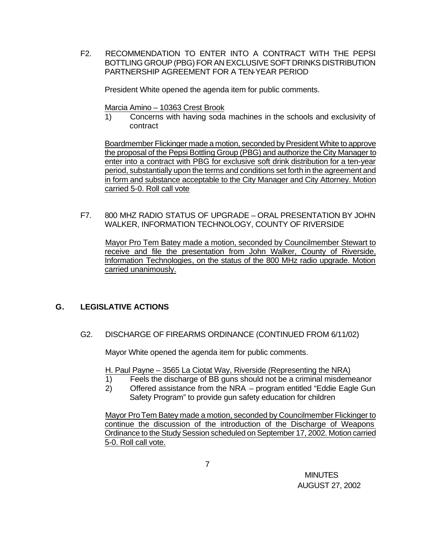F2. RECOMMENDATION TO ENTER INTO A CONTRACT WITH THE PEPSI BOTTLING GROUP (PBG) FOR AN EXCLUSIVE SOFT DRINKS DISTRIBUTION PARTNERSHIP AGREEMENT FOR A TEN-YEAR PERIOD

President White opened the agenda item for public comments.

Marcia Amino – 10363 Crest Brook

1) Concerns with having soda machines in the schools and exclusivity of contract

Boardmember Flickinger made a motion, seconded by President White to approve the proposal of the Pepsi Bottling Group (PBG) and authorize the City Manager to enter into a contract with PBG for exclusive soft drink distribution for a ten-year period, substantially upon the terms and conditions set forth in the agreement and in form and substance acceptable to the City Manager and City Attorney. Motion carried 5-0. Roll call vote

F7. 800 MHZ RADIO STATUS OF UPGRADE – ORAL PRESENTATION BY JOHN WALKER, INFORMATION TECHNOLOGY, COUNTY OF RIVERSIDE

Mayor Pro Tem Batey made a motion, seconded by Councilmember Stewart to receive and file the presentation from John Walker, County of Riverside, Information Technologies, on the status of the 800 MHz radio upgrade. Motion carried unanimously.

## **G. LEGISLATIVE ACTIONS**

G2. DISCHARGE OF FIREARMS ORDINANCE (CONTINUED FROM 6/11/02)

Mayor White opened the agenda item for public comments.

H. Paul Payne – 3565 La Ciotat Way, Riverside (Representing the NRA)

- 1) Feels the discharge of BB guns should not be a criminal misdemeanor
- 2) Offered assistance from the NRA program entitled "Eddie Eagle Gun Safety Program" to provide gun safety education for children

Mayor Pro Tem Batey made a motion, seconded by Councilmember Flickinger to continue the discussion of the introduction of the Discharge of Weapons Ordinance to the Study Session scheduled on September 17, 2002. Motion carried 5-0. Roll call vote.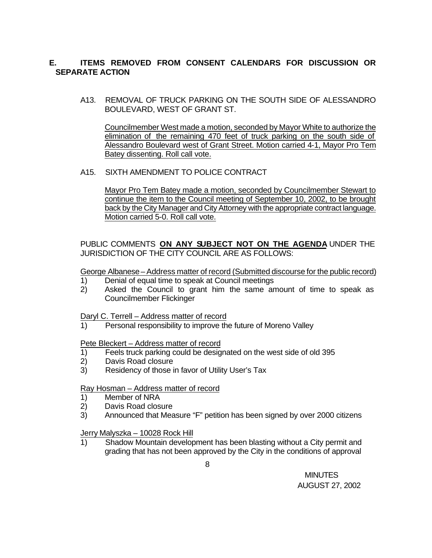# **E. ITEMS REMOVED FROM CONSENT CALENDARS FOR DISCUSSION OR SEPARATE ACTION**

A13. REMOVAL OF TRUCK PARKING ON THE SOUTH SIDE OF ALESSANDRO BOULEVARD, WEST OF GRANT ST.

Councilmember West made a motion, seconded by Mayor White to authorize the elimination of the remaining 470 feet of truck parking on the south side of Alessandro Boulevard west of Grant Street. Motion carried 4-1, Mayor Pro Tem Batey dissenting. Roll call vote.

## A15. SIXTH AMENDMENT TO POLICE CONTRACT

Mayor Pro Tem Batey made a motion, seconded by Councilmember Stewart to continue the item to the Council meeting of September 10, 2002, to be brought back by the City Manager and City Attorney with the appropriate contract language. Motion carried 5-0. Roll call vote.

# PUBLIC COMMENTS **ON ANY SUBJECT NOT ON THE AGENDA** UNDER THE JURISDICTION OF THE CITY COUNCIL ARE AS FOLLOWS:

George Albanese – Address matter of record (Submitted discourse for the public record)

- 1) Denial of equal time to speak at Council meetings
- 2) Asked the Council to grant him the same amount of time to speak as Councilmember Flickinger

Daryl C. Terrell – Address matter of record

1) Personal responsibility to improve the future of Moreno Valley

Pete Bleckert – Address matter of record

- 1) Feels truck parking could be designated on the west side of old 395
- 2) Davis Road closure
- 3) Residency of those in favor of Utility User's Tax

### Ray Hosman – Address matter of record

- 1) Member of NRA
- 2) Davis Road closure
- 3) Announced that Measure "F" petition has been signed by over 2000 citizens

#### Jerry Malyszka – 10028 Rock Hill

1) Shadow Mountain development has been blasting without a City permit and grading that has not been approved by the City in the conditions of approval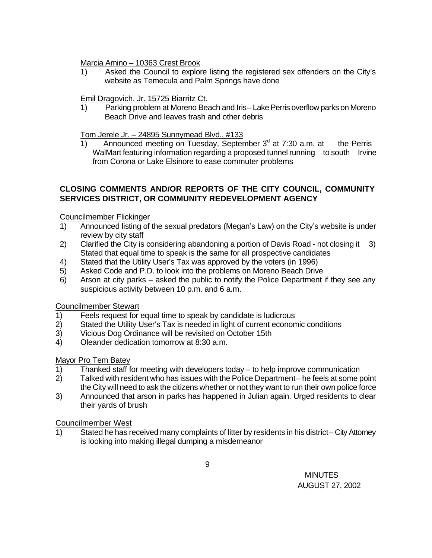Marcia Amino – 10363 Crest Brook

1) Asked the Council to explore listing the registered sex offenders on the City's website as Temecula and Palm Springs have done

# Emil Dragovich, Jr. 15725 Biarritz Ct.

1) Parking problem at Moreno Beach and Iris – Lake Perris overflow parks on Moreno Beach Drive and leaves trash and other debris

## Tom Jerele Jr. – 24895 Sunnymead Blvd., #133

1) Announced meeting on Tuesday, September  $3<sup>d</sup>$  at 7:30 a.m. at the Perris WalMart featuring information regarding a proposed tunnel running to south Irvine from Corona or Lake Elsinore to ease commuter problems

# **CLOSING COMMENTS AND/OR REPORTS OF THE CITY COUNCIL, COMMUNITY SERVICES DISTRICT, OR COMMUNITY REDEVELOPMENT AGENCY**

Councilmember Flickinger

- 1) Announced listing of the sexual predators (Megan's Law) on the City's website is under review by city staff
- 2) Clarified the City is considering abandoning a portion of Davis Road not closing it 3) Stated that equal time to speak is the same for all prospective candidates
- 4) Stated that the Utility User's Tax was approved by the voters (in 1996)
- 5) Asked Code and P.D. to look into the problems on Moreno Beach Drive
- 6) Arson at city parks asked the public to notify the Police Department if they see any suspicious activity between 10 p.m. and 6 a.m.

## Councilmember Stewart

- 1) Feels request for equal time to speak by candidate is ludicrous
- 2) Stated the Utility User's Tax is needed in light of current economic conditions
- 3) Vicious Dog Ordinance will be revisited on October 15th
- 4) Oleander dedication tomorrow at 8:30 a.m.

## Mayor Pro Tem Batey

- 1) Thanked staff for meeting with developers today to help improve communication
- 2) Talked with resident who has issues with the Police Department he feels at some point the City will need to ask the citizens whether or not they want to run their own police force
- 3) Announced that arson in parks has happened in Julian again. Urged residents to clear their yards of brush

## Councilmember West

1) Stated he has received many complaints of litter by residents in his district – City Attorney is looking into making illegal dumping a misdemeanor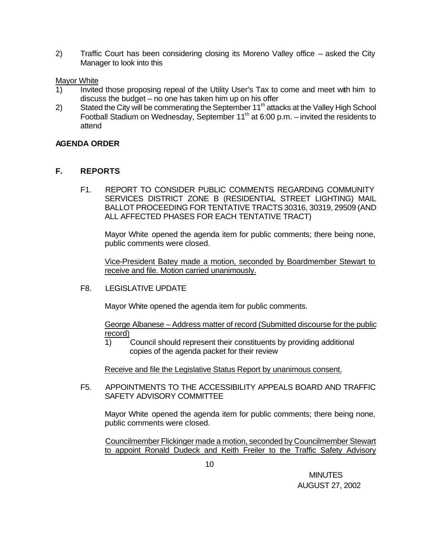2) Traffic Court has been considering closing its Moreno Valley office – asked the City Manager to look into this

### Mayor White

- 1) Invited those proposing repeal of the Utility User's Tax to come and meet with him to discuss the budget – no one has taken him up on his offer
- 2) Stated the City will be commerating the September 11<sup>th</sup> attacks at the Valley High School Football Stadium on Wednesday, September 11th at 6:00 p.m. – invited the residents to attend

## **AGENDA ORDER**

## **F. REPORTS**

F1. REPORT TO CONSIDER PUBLIC COMMENTS REGARDING COMMUNITY SERVICES DISTRICT ZONE B (RESIDENTIAL STREET LIGHTING) MAIL BALLOT PROCEEDING FOR TENTATIVE TRACTS 30316, 30319, 29509 (AND ALL AFFECTED PHASES FOR EACH TENTATIVE TRACT)

Mayor White opened the agenda item for public comments; there being none, public comments were closed.

Vice-President Batey made a motion, seconded by Boardmember Stewart to receive and file. Motion carried unanimously.

F8. LEGISLATIVE UPDATE

Mayor White opened the agenda item for public comments.

George Albanese – Address matter of record (Submitted discourse for the public record)

1) Council should represent their constituents by providing additional copies of the agenda packet for their review

Receive and file the Legislative Status Report by unanimous consent.

F5. APPOINTMENTS TO THE ACCESSIBILITY APPEALS BOARD AND TRAFFIC SAFETY ADVISORY COMMITTEE

Mayor White opened the agenda item for public comments; there being none, public comments were closed.

Councilmember Flickinger made a motion, seconded by Councilmember Stewart to appoint Ronald Dudeck and Keith Freiler to the Traffic Safety Advisory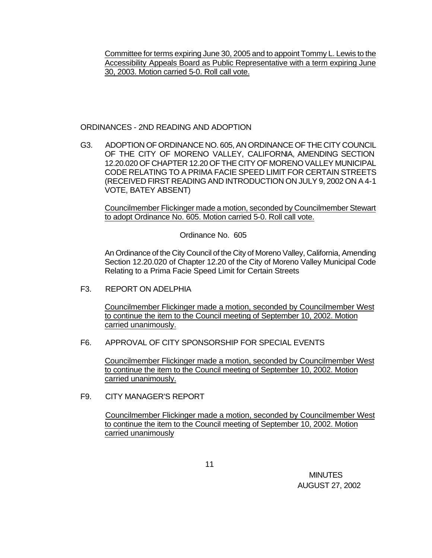Committee for terms expiring June 30, 2005 and to appoint Tommy L. Lewis to the Accessibility Appeals Board as Public Representative with a term expiring June 30, 2003. Motion carried 5-0. Roll call vote.

#### ORDINANCES - 2ND READING AND ADOPTION

G3. ADOPTION OF ORDINANCE NO. 605, AN ORDINANCE OF THE CITY COUNCIL OF THE CITY OF MORENO VALLEY, CALIFORNIA, AMENDING SECTION 12.20.020 OF CHAPTER 12.20 OF THE CITY OF MORENO VALLEY MUNICIPAL CODE RELATING TO A PRIMA FACIE SPEED LIMIT FOR CERTAIN STREETS (RECEIVED FIRST READING AND INTRODUCTION ON JULY 9, 2002 ON A 4-1 VOTE, BATEY ABSENT)

Councilmember Flickinger made a motion, seconded by Councilmember Stewart to adopt Ordinance No. 605. Motion carried 5-0. Roll call vote.

Ordinance No. 605

An Ordinance of the City Council of the City of Moreno Valley, California, Amending Section 12.20.020 of Chapter 12.20 of the City of Moreno Valley Municipal Code Relating to a Prima Facie Speed Limit for Certain Streets

F3. REPORT ON ADELPHIA

Councilmember Flickinger made a motion, seconded by Councilmember West to continue the item to the Council meeting of September 10, 2002. Motion carried unanimously.

## F6. APPROVAL OF CITY SPONSORSHIP FOR SPECIAL EVENTS

Councilmember Flickinger made a motion, seconded by Councilmember West to continue the item to the Council meeting of September 10, 2002. Motion carried unanimously.

### F9. CITY MANAGER'S REPORT

Councilmember Flickinger made a motion, seconded by Councilmember West to continue the item to the Council meeting of September 10, 2002. Motion carried unanimously